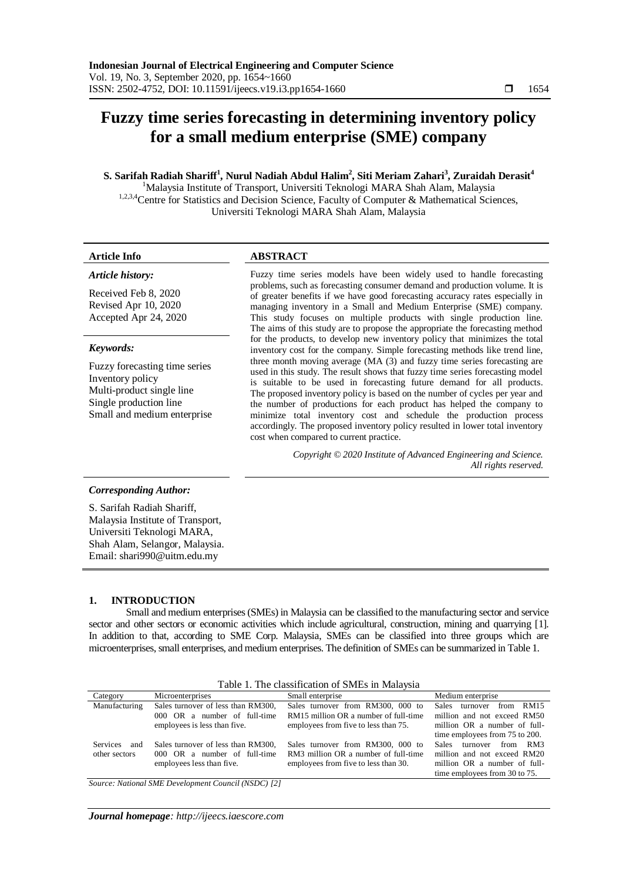# **Fuzzy time series forecasting in determining inventory policy for a small medium enterprise (SME) company**

# **S. Sarifah Radiah Shariff<sup>1</sup> , Nurul Nadiah Abdul Halim<sup>2</sup> , Siti Meriam Zahari<sup>3</sup> , Zuraidah Derasit<sup>4</sup>**

<sup>1</sup>Malaysia Institute of Transport, Universiti Teknologi MARA Shah Alam, Malaysia 1,2,3,4 Centre for Statistics and Decision Science, Faculty of Computer & Mathematical Sciences, Universiti Teknologi MARA Shah Alam, Malaysia

# **Article Info ABSTRACT**

#### *Article history:*

Received Feb 8, 2020 Revised Apr 10, 2020 Accepted Apr 24, 2020

### *Keywords:*

Fuzzy forecasting time series Inventory policy Multi-product single line Single production line Small and medium enterprise

Fuzzy time series models have been widely used to handle forecasting problems, such as forecasting consumer demand and production volume. It is of greater benefits if we have good forecasting accuracy rates especially in managing inventory in a Small and Medium Enterprise (SME) company. This study focuses on multiple products with single production line. The aims of this study are to propose the appropriate the forecasting method for the products, to develop new inventory policy that minimizes the total inventory cost for the company. Simple forecasting methods like trend line, three month moving average  $(MA (3)$  and fuzzy time series forecasting are used in this study. The result shows that fuzzy time series forecasting model is suitable to be used in forecasting future demand for all products. The proposed inventory policy is based on the number of cycles per year and the number of productions for each product has helped the company to minimize total inventory cost and schedule the production process accordingly. The proposed inventory policy resulted in lower total inventory cost when compared to current practice.

> *Copyright © 2020 Institute of Advanced Engineering and Science. All rights reserved.*

# *Corresponding Author:*

S. Sarifah Radiah Shariff, Malaysia Institute of Transport, Universiti Teknologi MARA, Shah Alam, Selangor, Malaysia. Email: shari990@uitm.edu.my

# **1. INTRODUCTION**

Small and medium enterprises (SMEs) in Malaysia can be classified to the manufacturing sector and service sector and other sectors or economic activities which include agricultural, construction, mining and quarrying [1]. In addition to that, according to SME Corp. Malaysia, SMEs can be classified into three groups which are microenterprises, small enterprises, and medium enterprises. The definition of SMEs can be summarized in Table 1.

| Category               | Microenterprises                   | Small enterprise                      | Medium enterprise                        |
|------------------------|------------------------------------|---------------------------------------|------------------------------------------|
| Manufacturing          | Sales turnover of less than RM300, | Sales turnover from RM300, 000 to     | <b>Sales</b><br>from<br>RM15<br>turnover |
|                        | $000$ OR a number of full-time     | RM15 million OR a number of full-time | million and not exceed RM50              |
|                        | employees is less than five.       | employees from five to less than 75.  | million OR a number of full-             |
|                        |                                    |                                       | time employees from 75 to 200.           |
| <b>Services</b><br>and | Sales turnover of less than RM300. | Sales turnover from RM300, 000 to     | turnover from RM3<br><b>Sales</b>        |
| other sectors          | 000 OR a number of full-time       | RM3 million OR a number of full-time  | million and not exceed RM20              |
|                        | employees less than five.          | employees from five to less than 30.  | million OR a number of full-             |
|                        |                                    |                                       | time employees from 30 to 75.            |

Table 1. The classification of SMEs in Malaysia

*Source: National SME Development Council (NSDC) [2]*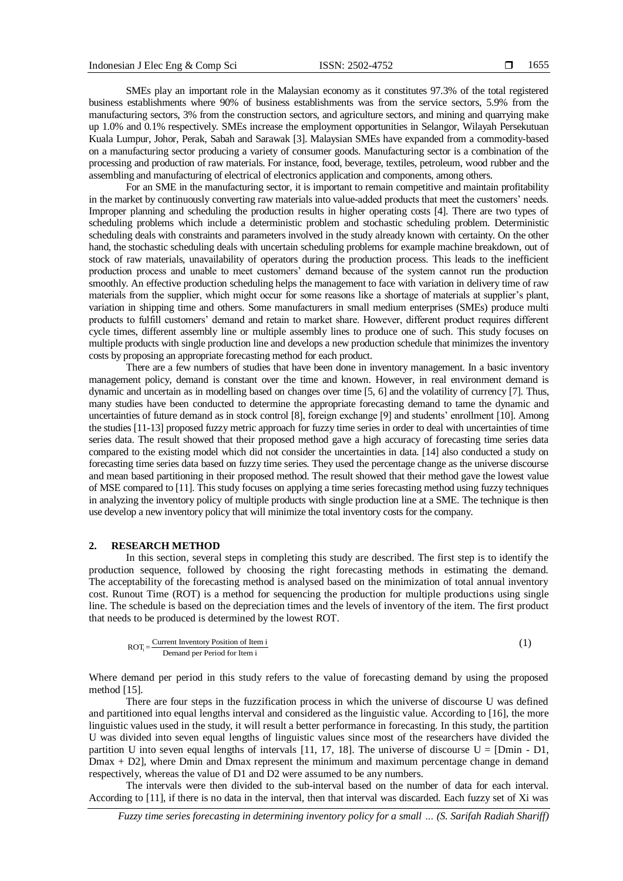SMEs play an important role in the Malaysian economy as it constitutes 97.3% of the total registered business establishments where 90% of business establishments was from the service sectors, 5.9% from the manufacturing sectors, 3% from the construction sectors, and agriculture sectors, and mining and quarrying make up 1.0% and 0.1% respectively. SMEs increase the employment opportunities in Selangor, Wilayah Persekutuan Kuala Lumpur, Johor, Perak, Sabah and Sarawak [3]. Malaysian SMEs have expanded from a commodity-based on a manufacturing sector producing a variety of consumer goods. Manufacturing sector is a combination of the processing and production of raw materials. For instance, food, beverage, textiles, petroleum, wood rubber and the assembling and manufacturing of electrical of electronics application and components, among others.

For an SME in the manufacturing sector, it is important to remain competitive and maintain profitability in the market by continuously converting raw materials into value-added products that meet the customers' needs. Improper planning and scheduling the production results in higher operating costs [4]. There are two types of scheduling problems which include a deterministic problem and stochastic scheduling problem. Deterministic scheduling deals with constraints and parameters involved in the study already known with certainty. On the other hand, the stochastic scheduling deals with uncertain scheduling problems for example machine breakdown, out of stock of raw materials, unavailability of operators during the production process. This leads to the inefficient production process and unable to meet customers' demand because of the system cannot run the production smoothly. An effective production scheduling helps the management to face with variation in delivery time of raw materials from the supplier, which might occur for some reasons like a shortage of materials at supplier's plant, variation in shipping time and others. Some manufacturers in small medium enterprises (SMEs) produce multi products to fulfill customers' demand and retain to market share. However, different product requires different cycle times, different assembly line or multiple assembly lines to produce one of such. This study focuses on multiple products with single production line and develops a new production schedule that minimizes the inventory costs by proposing an appropriate forecasting method for each product.

There are a few numbers of studies that have been done in inventory management. In a basic inventory management policy, demand is constant over the time and known. However, in real environment demand is dynamic and uncertain as in modelling based on changes over time [5, 6] and the volatility of currency [7]. Thus, many studies have been conducted to determine the appropriate forecasting demand to tame the dynamic and uncertainties of future demand as in stock control [8], foreign exchange [9] and students' enrollment [10]. Among the studies [11-13] proposed fuzzy metric approach for fuzzy time series in order to deal with uncertainties of time series data. The result showed that their proposed method gave a high accuracy of forecasting time series data compared to the existing model which did not consider the uncertainties in data. [14] also conducted a study on forecasting time series data based on fuzzy time series. They used the percentage change as the universe discourse and mean based partitioning in their proposed method. The result showed that their method gave the lowest value of MSE compared to [11]. This study focuses on applying a time series forecasting method using fuzzy techniques in analyzing the inventory policy of multiple products with single production line at a SME. The technique is then use develop a new inventory policy that will minimize the total inventory costs for the company.

#### **2. RESEARCH METHOD**

In this section, several steps in completing this study are described. The first step is to identify the production sequence, followed by choosing the right forecasting methods in estimating the demand. The acceptability of the forecasting method is analysed based on the minimization of total annual inventory cost. Runout Time (ROT) is a method for sequencing the production for multiple productions using single line. The schedule is based on the depreciation times and the levels of inventory of the item. The first product that needs to be produced is determined by the lowest ROT.

$$
ROTi = \frac{Current Inventory Position of Item i}{Denand per Period for Item i}
$$
 (1)

Where demand per period in this study refers to the value of forecasting demand by using the proposed method [15].

There are four steps in the fuzzification process in which the universe of discourse U was defined and partitioned into equal lengths interval and considered as the linguistic value. According to [16], the more linguistic values used in the study, it will result a better performance in forecasting. In this study, the partition U was divided into seven equal lengths of linguistic values since most of the researchers have divided the partition U into seven equal lengths of intervals  $[11, 17, 18]$ . The universe of discourse  $U = [Dmin - D1,$ Dmax + D2], where Dmin and Dmax represent the minimum and maximum percentage change in demand respectively, whereas the value of D1 and D2 were assumed to be any numbers.

The intervals were then divided to the sub-interval based on the number of data for each interval. According to [11], if there is no data in the interval, then that interval was discarded. Each fuzzy set of Xi was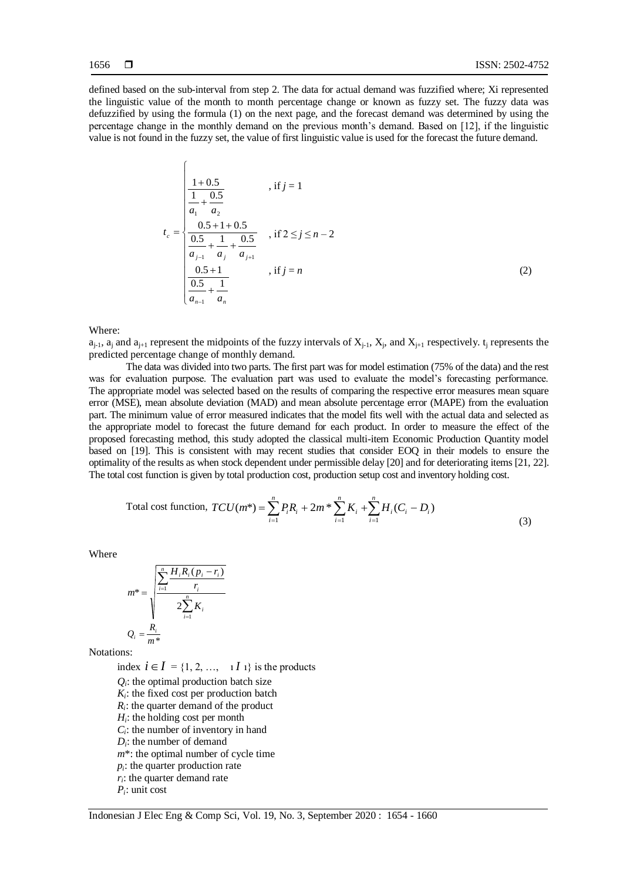$\sqrt{ }$ 

defined based on the sub-interval from step 2. The data for actual demand was fuzzified where; Xi represented the linguistic value of the month to month percentage change or known as fuzzy set. The fuzzy data was defuzzified by using the formula (1) on the next page, and the forecast demand was determined by using the percentage change in the monthly demand on the previous month's demand. Based on [12], if the linguistic value is not found in the fuzzy set, the value of first linguistic value is used for the forecast the future demand.

$$
t_c = \begin{cases} \frac{1+0.5}{\frac{1}{a_1} + \frac{0.5}{a_2}} & , \text{if } j = 1\\ \frac{0.5+1+0.5}{\frac{0.5}{a_{j-1}} + \frac{1}{a_j} + \frac{0.5}{a_{j+1}}} & , \text{if } 2 \le j \le n-2\\ \frac{0.5+1}{\frac{0.5}{a_{n-1}} + \frac{1}{a_n}} & , \text{if } j = n \end{cases}
$$
(2)

Where:

 $a_{j-1}$ ,  $a_j$  and  $a_{j+1}$  represent the midpoints of the fuzzy intervals of  $X_{j-1}$ ,  $X_j$ , and  $X_{j+1}$  respectively.  $t_j$  represents the predicted percentage change of monthly demand.

The data was divided into two parts. The first part was for model estimation (75% of the data) and the rest was for evaluation purpose. The evaluation part was used to evaluate the model's forecasting performance. The appropriate model was selected based on the results of comparing the respective error measures mean square error (MSE), mean absolute deviation (MAD) and mean absolute percentage error (MAPE) from the evaluation part. The minimum value of error measured indicates that the model fits well with the actual data and selected as the appropriate model to forecast the future demand for each product. In order to measure the effect of the proposed forecasting method, this study adopted the classical multi-item Economic Production Quantity model based on [19]. This is consistent with may recent studies that consider EOQ in their models to ensure the optimality of the results as when stock dependent under permissible delay [20] and for deteriorating items [21, 22]. The total cost function is given by total production cost, production setup cost and inventory holding cost.

Total cost function, 
$$
TCU(m^*) = \sum_{i=1}^{n} P_i R_i + 2m^* \sum_{i=1}^{n} K_i + \sum_{i=1}^{n} H_i (C_i - D_i)
$$
 (3)

Where

$$
m^* = \sqrt{\frac{\sum_{i=1}^{n} H_i R_i (p_i - r_i)}{r_i}}
$$

$$
Q_i = \frac{R_i}{m^*}
$$

Notations:

index  $i \in I = \{1, 2, ..., 1I\}$  is the products  $Q_i$ : the optimal production batch size  $K_i$ : the fixed cost per production batch  $R_i$ : the quarter demand of the product *Hi* : the holding cost per month  $C_i$ : the number of inventory in hand  $D_i$ : the number of demand *m*\*: the optimal number of cycle time  $p_i$ : the quarter production rate *ri* : the quarter demand rate *Pi* : unit cost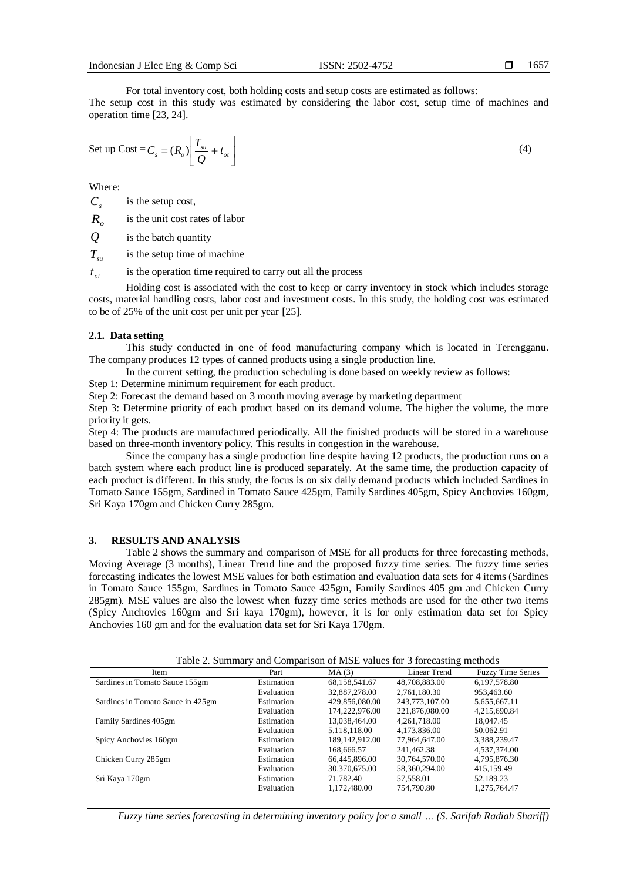For total inventory cost, both holding costs and setup costs are estimated as follows: The setup cost in this study was estimated by considering the labor cost, setup time of machines and operation time [23, 24].

Set up Cost = 
$$
C_s = (R_o) \left[ \frac{T_{su}}{Q} + t_{ot} \right]
$$
 (4)

Where:

 $C<sub>s</sub>$ is the setup cost,

 $R_{\alpha}$ is the unit cost rates of labor

*Q* is the batch quantity

 $T_{\rm sw}$ is the setup time of machine

 $t_{\alpha t}$ is the operation time required to carry out all the process

Holding cost is associated with the cost to keep or carry inventory in stock which includes storage costs, material handling costs, labor cost and investment costs. In this study, the holding cost was estimated to be of 25% of the unit cost per unit per year [25].

#### **2.1. Data setting**

This study conducted in one of food manufacturing company which is located in Terengganu. The company produces 12 types of canned products using a single production line.

In the current setting, the production scheduling is done based on weekly review as follows:

Step 1: Determine minimum requirement for each product.

Step 2: Forecast the demand based on 3 month moving average by marketing department

Step 3: Determine priority of each product based on its demand volume. The higher the volume, the more priority it gets.

Step 4: The products are manufactured periodically. All the finished products will be stored in a warehouse based on three-month inventory policy. This results in congestion in the warehouse.

Since the company has a single production line despite having 12 products, the production runs on a batch system where each product line is produced separately. At the same time, the production capacity of each product is different. In this study, the focus is on six daily demand products which included Sardines in Tomato Sauce 155gm, Sardined in Tomato Sauce 425gm, Family Sardines 405gm, Spicy Anchovies 160gm, Sri Kaya 170gm and Chicken Curry 285gm.

### **3. RESULTS AND ANALYSIS**

Table 2 shows the summary and comparison of MSE for all products for three forecasting methods, Moving Average (3 months), Linear Trend line and the proposed fuzzy time series. The fuzzy time series forecasting indicates the lowest MSE values for both estimation and evaluation data sets for 4 items (Sardines in Tomato Sauce 155gm, Sardines in Tomato Sauce 425gm, Family Sardines 405 gm and Chicken Curry 285gm). MSE values are also the lowest when fuzzy time series methods are used for the other two items (Spicy Anchovies 160gm and Sri kaya 170gm), however, it is for only estimation data set for Spicy Anchovies 160 gm and for the evaluation data set for Sri Kaya 170gm.

Table 2. Summary and Comparison of MSE values for 3 forecasting methods

| Item                              | Part       | MA(3)            | Linear Trend   | <b>Fuzzy Time Series</b> |
|-----------------------------------|------------|------------------|----------------|--------------------------|
| Sardines in Tomato Sauce 155gm    | Estimation | 68, 158, 541. 67 | 48,708,883.00  | 6,197,578.80             |
|                                   | Evaluation | 32,887,278,00    | 2.761.180.30   | 953,463.60               |
| Sardines in Tomato Sauce in 425gm | Estimation | 429.856.080.00   | 243,773,107.00 | 5,655,667.11             |
|                                   | Evaluation | 174.222.976.00   | 221,876,080.00 | 4,215,690.84             |
| Family Sardines 405gm             | Estimation | 13.038.464.00    | 4,261,718.00   | 18,047.45                |
|                                   | Evaluation | 5,118,118.00     | 4.173.836.00   | 50.062.91                |
| Spicy Anchovies 160gm             | Estimation | 189.142.912.00   | 77.964.647.00  | 3,388,239.47             |
|                                   | Evaluation | 168,666.57       | 241.462.38     | 4,537,374.00             |
| Chicken Curry 285gm               | Estimation | 66,445,896.00    | 30,764,570.00  | 4,795,876.30             |
|                                   | Evaluation | 30,370,675.00    | 58,360,294.00  | 415,159.49               |
| Sri Kaya 170gm                    | Estimation | 71,782.40        | 57.558.01      | 52,189.23                |
|                                   | Evaluation | 1.172.480.00     | 754,790.80     | 1.275.764.47             |

*Fuzzy time series forecasting in determining inventory policy for a small … (S. Sarifah Radiah Shariff)*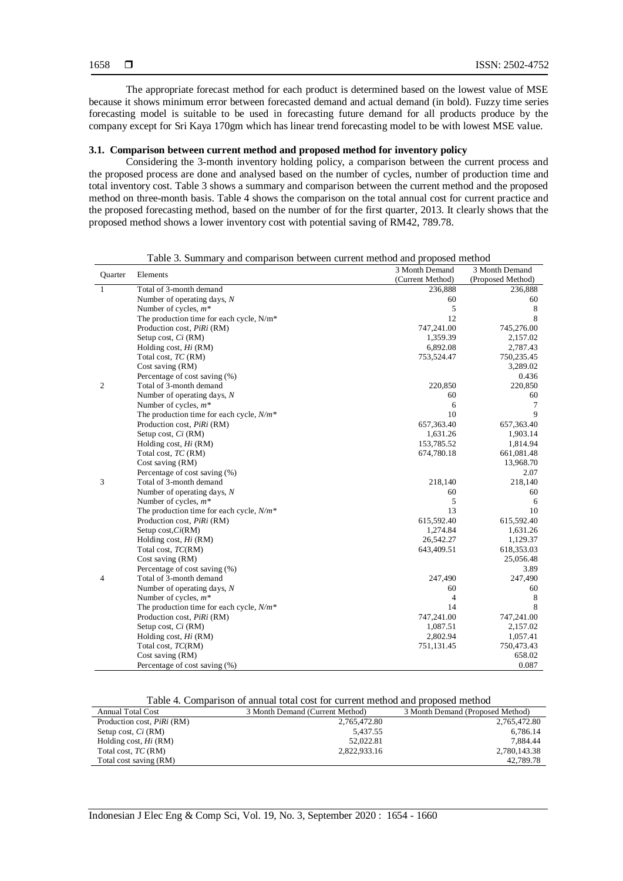The appropriate forecast method for each product is determined based on the lowest value of MSE because it shows minimum error between forecasted demand and actual demand (in bold). Fuzzy time series forecasting model is suitable to be used in forecasting future demand for all products produce by the company except for Sri Kaya 170gm which has linear trend forecasting model to be with lowest MSE value.

# **3.1. Comparison between current method and proposed method for inventory policy**

Considering the 3-month inventory holding policy, a comparison between the current process and the proposed process are done and analysed based on the number of cycles, number of production time and total inventory cost. Table 3 shows a summary and comparison between the current method and the proposed method on three-month basis. Table 4 shows the comparison on the total annual cost for current practice and the proposed forecasting method, based on the number of for the first quarter, 2013. It clearly shows that the proposed method shows a lower inventory cost with potential saving of RM42, 789.78.

|         |                                             | 3 Month Demand   | 3 Month Demand    |
|---------|---------------------------------------------|------------------|-------------------|
| Quarter | Elements                                    | (Current Method) | (Proposed Method) |
| 1       | Total of 3-month demand                     | 236,888          | 236,888           |
|         | Number of operating days, $N$               | 60               | 60                |
|         | Number of cycles, $m^*$                     | 5                | 8                 |
|         | The production time for each cycle, N/m*    | 12               | 8                 |
|         | Production cost, PiRi (RM)                  | 747,241.00       | 745,276.00        |
|         | Setup cost, Ci (RM)                         | 1,359.39         | 2,157.02          |
|         | Holding cost, $Hi$ (RM)                     | 6,892.08         | 2,787.43          |
|         | Total cost, TC (RM)                         | 753,524.47       | 750,235.45        |
|         | Cost saving (RM)                            |                  | 3,289.02          |
|         | Percentage of cost saving (%)               |                  | 0.436             |
| 2       | Total of 3-month demand                     | 220,850          | 220,850           |
|         | Number of operating days, $N$               | 60               | 60                |
|         | Number of cycles, $m^*$                     | 6                | 7                 |
|         | The production time for each cycle, $N/m^*$ | 10               | 9                 |
|         | Production cost, PiRi (RM)                  | 657,363.40       | 657,363.40        |
|         | Setup cost, Ci (RM)                         | 1,631.26         | 1,903.14          |
|         | Holding cost, $Hi$ (RM)                     | 153,785.52       | 1,814.94          |
|         | Total cost, TC (RM)                         | 674,780.18       | 661,081.48        |
|         | Cost saving (RM)                            |                  | 13,968.70         |
|         | Percentage of cost saving (%)               |                  | 2.07              |
| 3       | Total of 3-month demand                     | 218,140          | 218,140           |
|         | Number of operating days, $N$               | 60               | 60                |
|         | Number of cycles, $m^*$                     | 5                | 6                 |
|         | The production time for each cycle, $N/m^*$ | 13               | 10                |
|         | Production cost, PiRi (RM)                  | 615,592.40       | 615,592.40        |
|         | Setup cost, $Ci(RM)$                        | 1,274.84         | 1,631.26          |
|         | Holding cost, $Hi$ (RM)                     | 26,542.27        | 1,129.37          |
|         | Total cost, TC(RM)                          | 643,409.51       | 618,353.03        |
|         | Cost saving (RM)                            |                  | 25,056.48         |
|         | Percentage of cost saving (%)               |                  | 3.89              |
| 4       | Total of 3-month demand                     | 247,490          | 247,490           |
|         | Number of operating days, $N$               | 60               | 60                |
|         | Number of cycles, $m^*$                     | $\overline{4}$   | 8                 |
|         | The production time for each cycle, $N/m^*$ | 14               | 8                 |
|         | Production cost, PiRi (RM)                  | 747,241.00       | 747,241.00        |
|         | Setup cost, Ci (RM)                         | 1,087.51         | 2,157.02          |
|         | Holding cost, $Hi$ (RM)                     | 2,802.94         | 1,057.41          |
|         | Total cost, TC(RM)                          | 751,131.45       | 750,473.43        |
|         | Cost saving (RM)                            |                  | 658.02            |
|         | Percentage of cost saving (%)               |                  | 0.087             |

Table 3. Summary and comparison between current method and proposed method

Table 4. Comparison of annual total cost for current method and proposed method

| Annual Total Cost                 | 3 Month Demand (Current Method) | 3 Month Demand (Proposed Method) |  |
|-----------------------------------|---------------------------------|----------------------------------|--|
| Production cost, <i>PiRi</i> (RM) | 2,765,472.80                    | 2.765.472.80                     |  |
| Setup cost, Ci (RM)               | 5.437.55                        | 6.786.14                         |  |
| Holding cost, $Hi$ (RM)           | 52.022.81                       | 7.884.44                         |  |
| Total cost, TC (RM)               | 2.822.933.16                    | 2,780,143.38                     |  |
| Total cost saving (RM)            |                                 | 42,789.78                        |  |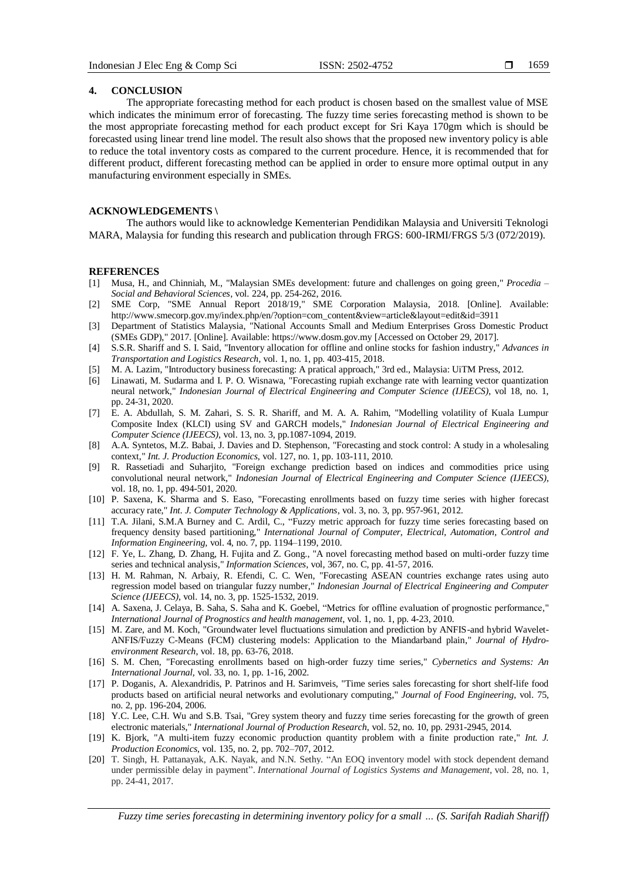#### **4. CONCLUSION**

The appropriate forecasting method for each product is chosen based on the smallest value of MSE which indicates the minimum error of forecasting. The fuzzy time series forecasting method is shown to be the most appropriate forecasting method for each product except for Sri Kaya 170gm which is should be forecasted using linear trend line model. The result also shows that the proposed new inventory policy is able to reduce the total inventory costs as compared to the current procedure. Hence, it is recommended that for different product, different forecasting method can be applied in order to ensure more optimal output in any manufacturing environment especially in SMEs.

# **ACKNOWLEDGEMENTS \**

The authors would like to acknowledge Kementerian Pendidikan Malaysia and Universiti Teknologi MARA, Malaysia for funding this research and publication through FRGS: 600-IRMI/FRGS 5/3 (072/2019).

#### **REFERENCES**

- [1] Musa, H., and Chinniah, M., "Malaysian SMEs development: future and challenges on going green," *Procedia – Social and Behavioral Sciences*, vol. 224, pp. 254-262, 2016.
- [2] SME Corp, "SME Annual Report 2018/19," SME Corporation Malaysia, 2018. [Online]. Available: http://www.smecorp.gov.my/index.php/en/?option=com\_content&view=article&layout=edit&id=3911
- [3] Department of Statistics Malaysia, "National Accounts Small and Medium Enterprises Gross Domestic Product (SMEs GDP)," 2017. [Online]. Available: https://www.dosm.gov.my [Accessed on October 29, 2017].
- [4] S.S.R. Shariff and S. I. Said, "Inventory allocation for offline and online stocks for fashion industry," *Advances in Transportation and Logistics Research,* vol. 1, no. 1, pp. 403-415, 2018.
- [5] M. A. Lazim, "Introductory business forecasting: A pratical approach," 3rd ed., Malaysia: UiTM Press, 2012.
- [6] Linawati, M. Sudarma and I. P. O. Wisnawa, "Forecasting rupiah exchange rate with learning vector quantization neural network," *Indonesian Journal of Electrical Engineering and Computer Science (IJEECS)*, vol 18, no. 1, pp. 24-31, 2020.
- [7] E. A. Abdullah*,* S. M. Zahari, S. S. R. Shariff, and M. A. A. Rahim*,* "Modelling volatility of Kuala Lumpur Composite Index (KLCI) using SV and GARCH models," *Indonesian Journal of Electrical Engineering and Computer Science (IJEECS)*, vol. 13, no. 3, pp.1087-1094, 2019.
- [8] A.A. Syntetos, M.Z. Babai, J. Davies and D. Stephenson, "Forecasting and stock control: A study in a wholesaling context," *Int. J. Production Economics*, vol. 127, no. 1, pp. 103-111, 2010.
- [9] R. Rassetiadi and Suharjito, "Foreign exchange prediction based on indices and commodities price using convolutional neural network," *Indonesian Journal of Electrical Engineering and Computer Science (IJEECS)*, vol. 18, no. 1, pp. 494-501, 2020.
- [10] P. Saxena, K. Sharma and S. Easo, "Forecasting enrollments based on fuzzy time series with higher forecast accuracy rate," *Int. J. Computer Technology & Applications*, vol. 3, no. 3, pp. 957-961, 2012.
- [11] T.A. Jilani, S.M.A Burney and C. Ardil, C., "Fuzzy metric approach for fuzzy time series forecasting based on frequency density based partitioning," *International Journal of Computer, Electrical, Automation, Control and Information Engineering,* vol. 4, no. 7, pp. 1194–1199, 2010.
- [12] F. Ye, L. Zhang, D. Zhang, H. Fujita and Z. Gong., "A novel forecasting method based on multi-order fuzzy time series and technical analysis," *Information Sciences*, vol, 367, no. C, pp. 41-57, 2016.
- [13] H. M. Rahman, N. Arbaiy, R. Efendi, C. C. Wen*,* "Forecasting ASEAN countries exchange rates using auto regression model based on triangular fuzzy number," *Indonesian Journal of Electrical Engineering and Computer Science (IJEECS)*, vol. 14, no. 3, pp. 1525-1532, 2019.
- [14] A. Saxena, J. Celaya, B. Saha, S. Saha and K. Goebel, "Metrics for offline evaluation of prognostic performance," *International Journal of Prognostics and health management*, vol. 1, no. 1, pp. 4-23, 2010.
- [15] M. Zare, and M. Koch, "Groundwater level fluctuations simulation and prediction by ANFIS-and hybrid Wavelet-ANFIS/Fuzzy C-Means (FCM) clustering models: Application to the Miandarband plain," *Journal of Hydroenvironment Research*, vol. 18, pp. 63-76, 2018.
- [16] S. M. Chen, "Forecasting enrollments based on high-order fuzzy time series," *Cybernetics and Systems: An International Journal,* vol. 33, no. 1, pp. 1-16, 2002.
- [17] P. Doganis, A. Alexandridis, P. Patrinos and H. Sarimveis, "Time series sales forecasting for short shelf-life food products based on artificial neural networks and evolutionary computing," *Journal of Food Engineering*, vol. 75, no. 2, pp. 196-204, 2006.
- [18] Y.C. Lee, C.H. Wu and S.B. Tsai, "Grey system theory and fuzzy time series forecasting for the growth of green electronic materials," *International Journal of Production Research*, vol. 52, no. 10, pp. 2931-2945, 2014.
- [19] K. Bjork, "A multi-item fuzzy economic production quantity problem with a finite production rate," *Int. J. Production Economics*, vol. 135, no. 2, pp. 702–707, 2012.
- [20] T. Singh, H. Pattanayak, A.K. Nayak, and N.N. Sethy. "An EOQ inventory model with stock dependent demand under permissible delay in payment". *International Journal of Logistics Systems and Management*, vol. 28, no. 1, pp. 24-41, 2017.